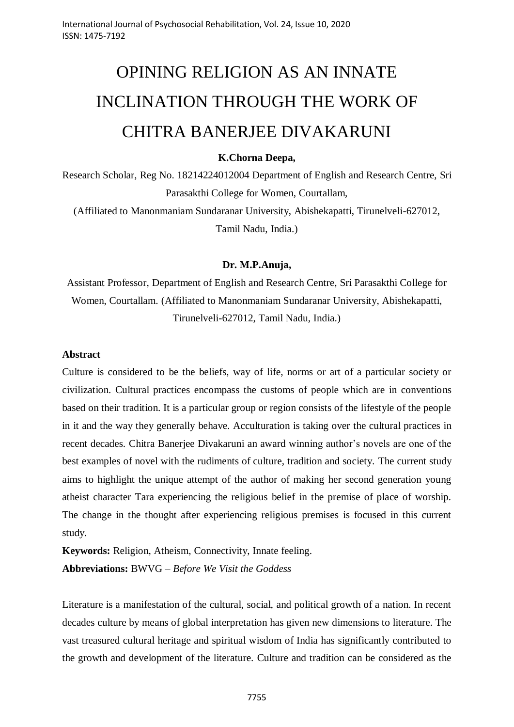# OPINING RELIGION AS AN INNATE INCLINATION THROUGH THE WORK OF CHITRA BANERJEE DIVAKARUNI

## **K.Chorna Deepa,**

Research Scholar, Reg No. 18214224012004 Department of English and Research Centre, Sri Parasakthi College for Women, Courtallam, (Affiliated to Manonmaniam Sundaranar University, Abishekapatti, Tirunelveli-627012,

Tamil Nadu, India.)

## **Dr. M.P.Anuja,**

Assistant Professor, Department of English and Research Centre, Sri Parasakthi College for Women, Courtallam. (Affiliated to Manonmaniam Sundaranar University, Abishekapatti, Tirunelveli-627012, Tamil Nadu, India.)

## **Abstract**

Culture is considered to be the beliefs, way of life, norms or art of a particular society or civilization. Cultural practices encompass the customs of people which are in conventions based on their tradition. It is a particular group or region consists of the lifestyle of the people in it and the way they generally behave. Acculturation is taking over the cultural practices in recent decades. Chitra Banerjee Divakaruni an award winning author"s novels are one of the best examples of novel with the rudiments of culture, tradition and society. The current study aims to highlight the unique attempt of the author of making her second generation young atheist character Tara experiencing the religious belief in the premise of place of worship. The change in the thought after experiencing religious premises is focused in this current study.

**Keywords:** Religion, Atheism, Connectivity, Innate feeling. **Abbreviations:** BWVG – *Before We Visit the Goddess*

Literature is a manifestation of the cultural, social, and political growth of a nation. In recent decades culture by means of global interpretation has given new dimensions to literature. The vast treasured cultural heritage and spiritual wisdom of India has significantly contributed to the growth and development of the literature. Culture and tradition can be considered as the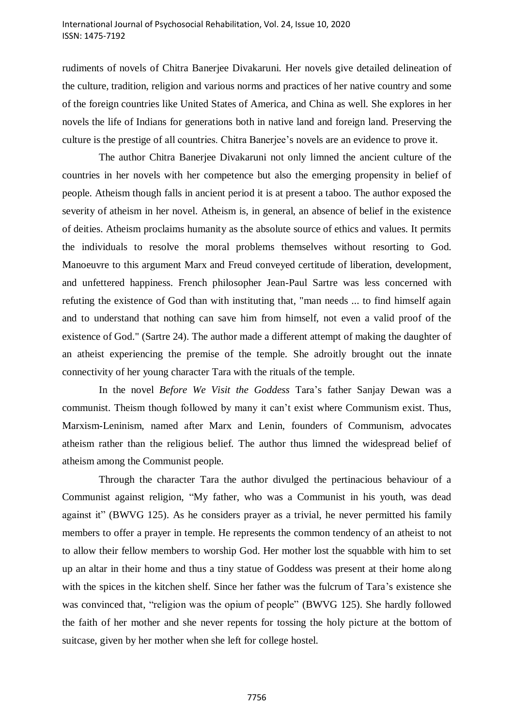#### International Journal of Psychosocial Rehabilitation, Vol. 24, Issue 10, 2020 ISSN: 1475-7192

rudiments of novels of Chitra Banerjee Divakaruni. Her novels give detailed delineation of the culture, tradition, religion and various norms and practices of her native country and some of the foreign countries like United States of America, and China as well. She explores in her novels the life of Indians for generations both in native land and foreign land. Preserving the culture is the prestige of all countries. Chitra Banerjee"s novels are an evidence to prove it.

The author Chitra Banerjee Divakaruni not only limned the ancient culture of the countries in her novels with her competence but also the emerging propensity in belief of people. Atheism though falls in ancient period it is at present a taboo. The author exposed the severity of atheism in her novel. Atheism is, in general, an absence of belief in the existence of deities. Atheism proclaims humanity as the absolute source of ethics and values. It permits the individuals to resolve the moral problems themselves without resorting to God. Manoeuvre to this argument Marx and Freud conveyed certitude of liberation, development, and unfettered happiness. French philosopher Jean-Paul Sartre was less concerned with refuting the existence of God than with instituting that, "man needs ... to find himself again and to understand that nothing can save him from himself, not even a valid proof of the existence of God." (Sartre 24). The author made a different attempt of making the daughter of an atheist experiencing the premise of the temple. She adroitly brought out the innate connectivity of her young character Tara with the rituals of the temple.

In the novel *Before We Visit the Goddess* Tara"s father Sanjay Dewan was a communist. Theism though followed by many it can"t exist where Communism exist. Thus, Marxism-Leninism, named after Marx and Lenin, founders of Communism, advocates atheism rather than the religious belief. The author thus limned the widespread belief of atheism among the Communist people.

Through the character Tara the author divulged the pertinacious behaviour of a Communist against religion, "My father, who was a Communist in his youth, was dead against it" (BWVG 125). As he considers prayer as a trivial, he never permitted his family members to offer a prayer in temple. He represents the common tendency of an atheist to not to allow their fellow members to worship God. Her mother lost the squabble with him to set up an altar in their home and thus a tiny statue of Goddess was present at their home along with the spices in the kitchen shelf. Since her father was the fulcrum of Tara's existence she was convinced that, "religion was the opium of people" (BWVG 125). She hardly followed the faith of her mother and she never repents for tossing the holy picture at the bottom of suitcase, given by her mother when she left for college hostel.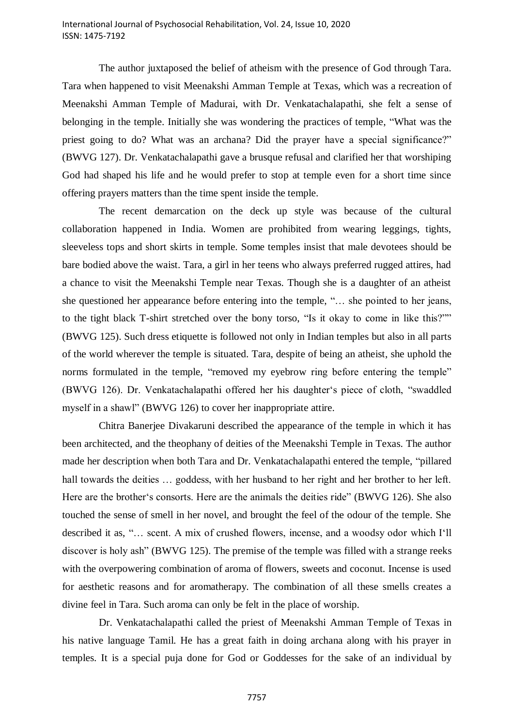The author juxtaposed the belief of atheism with the presence of God through Tara. Tara when happened to visit Meenakshi Amman Temple at Texas, which was a recreation of Meenakshi Amman Temple of Madurai, with Dr. Venkatachalapathi, she felt a sense of belonging in the temple. Initially she was wondering the practices of temple, "What was the priest going to do? What was an archana? Did the prayer have a special significance?" (BWVG 127). Dr. Venkatachalapathi gave a brusque refusal and clarified her that worshiping God had shaped his life and he would prefer to stop at temple even for a short time since offering prayers matters than the time spent inside the temple.

The recent demarcation on the deck up style was because of the cultural collaboration happened in India. Women are prohibited from wearing leggings, tights, sleeveless tops and short skirts in temple. Some temples insist that male devotees should be bare bodied above the waist. Tara, a girl in her teens who always preferred rugged attires, had a chance to visit the Meenakshi Temple near Texas. Though she is a daughter of an atheist she questioned her appearance before entering into the temple, "… she pointed to her jeans, to the tight black T-shirt stretched over the bony torso, "Is it okay to come in like this?"" (BWVG 125). Such dress etiquette is followed not only in Indian temples but also in all parts of the world wherever the temple is situated. Tara, despite of being an atheist, she uphold the norms formulated in the temple, "removed my eyebrow ring before entering the temple" (BWVG 126). Dr. Venkatachalapathi offered her his daughter"s piece of cloth, "swaddled myself in a shawl" (BWVG 126) to cover her inappropriate attire.

Chitra Banerjee Divakaruni described the appearance of the temple in which it has been architected, and the theophany of deities of the Meenakshi Temple in Texas. The author made her description when both Tara and Dr. Venkatachalapathi entered the temple, "pillared hall towards the deities ... goddess, with her husband to her right and her brother to her left. Here are the brother"s consorts. Here are the animals the deities ride" (BWVG 126). She also touched the sense of smell in her novel, and brought the feel of the odour of the temple. She described it as, "… scent. A mix of crushed flowers, incense, and a woodsy odor which I"ll discover is holy ash" (BWVG 125). The premise of the temple was filled with a strange reeks with the overpowering combination of aroma of flowers, sweets and coconut. Incense is used for aesthetic reasons and for aromatherapy. The combination of all these smells creates a divine feel in Tara. Such aroma can only be felt in the place of worship.

Dr. Venkatachalapathi called the priest of Meenakshi Amman Temple of Texas in his native language Tamil. He has a great faith in doing archana along with his prayer in temples. It is a special puja done for God or Goddesses for the sake of an individual by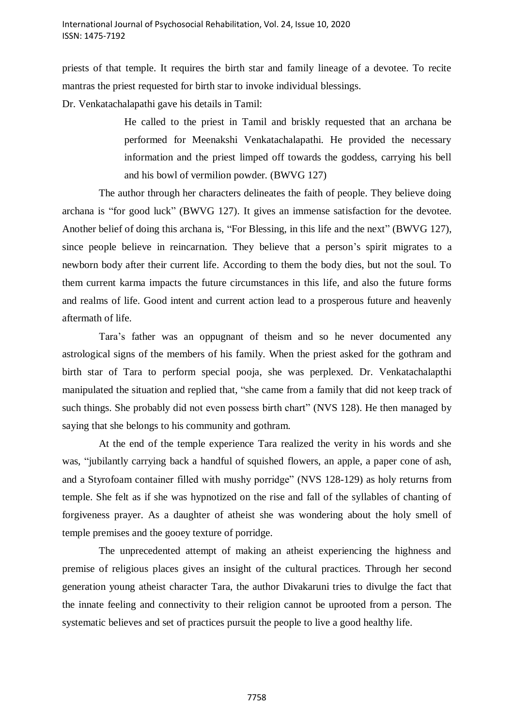priests of that temple. It requires the birth star and family lineage of a devotee. To recite mantras the priest requested for birth star to invoke individual blessings.

Dr. Venkatachalapathi gave his details in Tamil:

He called to the priest in Tamil and briskly requested that an archana be performed for Meenakshi Venkatachalapathi. He provided the necessary information and the priest limped off towards the goddess, carrying his bell and his bowl of vermilion powder. (BWVG 127)

The author through her characters delineates the faith of people. They believe doing archana is "for good luck" (BWVG 127). It gives an immense satisfaction for the devotee. Another belief of doing this archana is, "For Blessing, in this life and the next" (BWVG 127), since people believe in reincarnation. They believe that a person's spirit migrates to a newborn body after their current life. According to them the body dies, but not the soul. To them current karma impacts the future circumstances in this life, and also the future forms and realms of life. Good intent and current action lead to a prosperous future and heavenly aftermath of life.

Tara"s father was an oppugnant of theism and so he never documented any astrological signs of the members of his family. When the priest asked for the gothram and birth star of Tara to perform special pooja, she was perplexed. Dr. Venkatachalapthi manipulated the situation and replied that, "she came from a family that did not keep track of such things. She probably did not even possess birth chart" (NVS 128). He then managed by saying that she belongs to his community and gothram.

At the end of the temple experience Tara realized the verity in his words and she was, "jubilantly carrying back a handful of squished flowers, an apple, a paper cone of ash, and a Styrofoam container filled with mushy porridge" (NVS 128-129) as holy returns from temple. She felt as if she was hypnotized on the rise and fall of the syllables of chanting of forgiveness prayer. As a daughter of atheist she was wondering about the holy smell of temple premises and the gooey texture of porridge.

The unprecedented attempt of making an atheist experiencing the highness and premise of religious places gives an insight of the cultural practices. Through her second generation young atheist character Tara, the author Divakaruni tries to divulge the fact that the innate feeling and connectivity to their religion cannot be uprooted from a person. The systematic believes and set of practices pursuit the people to live a good healthy life.